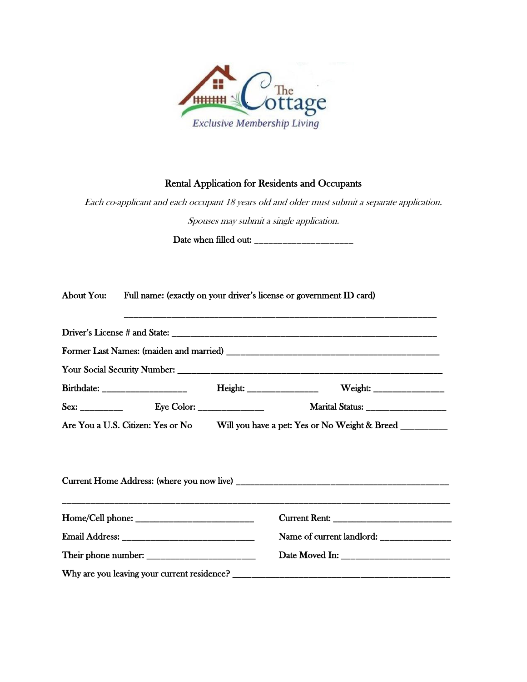

## Rental Application for Residents and Occupants

Each co-applicant and each occupant 18 years old and older must submit a separate application. Spouses may submit a single application.

Date when filled out: \_\_\_\_\_\_\_\_\_\_\_\_\_\_\_\_\_\_\_\_\_

|  | About You: Full name: (exactly on your driver's license or government ID card)                                         |
|--|------------------------------------------------------------------------------------------------------------------------|
|  |                                                                                                                        |
|  |                                                                                                                        |
|  |                                                                                                                        |
|  |                                                                                                                        |
|  | Marital Status: ___________________                                                                                    |
|  | Are You a U.S. Citizen: Yes or No Will you have a pet: Yes or No Weight & Breed ________                               |
|  | <u> 1989 - Johann John Stoff, deutscher Stoffen und der Stoffen und der Stoffen und der Stoffen und der Stoffen un</u> |
|  |                                                                                                                        |
|  |                                                                                                                        |
|  |                                                                                                                        |
|  |                                                                                                                        |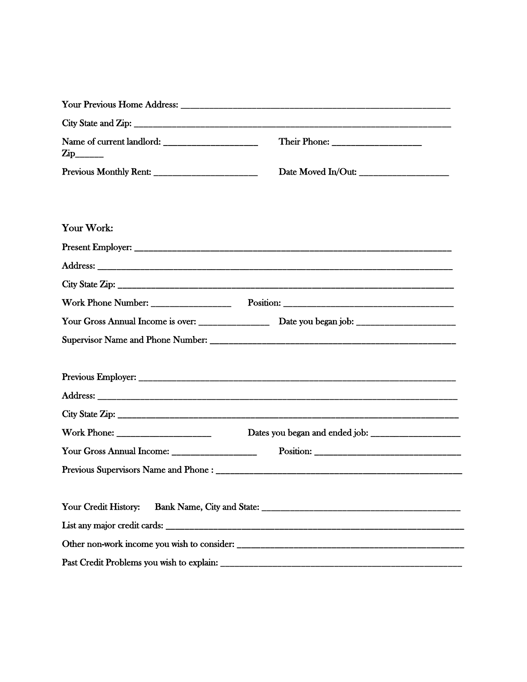| $\mathop{\rm Zip}\nolimits_{\text{max}}$       |                    |  |
|------------------------------------------------|--------------------|--|
|                                                | Date Moved In/Out: |  |
|                                                |                    |  |
|                                                |                    |  |
| Your Work:                                     |                    |  |
|                                                |                    |  |
|                                                |                    |  |
|                                                |                    |  |
|                                                |                    |  |
|                                                |                    |  |
|                                                |                    |  |
|                                                |                    |  |
|                                                |                    |  |
|                                                |                    |  |
|                                                |                    |  |
|                                                |                    |  |
| Your Gross Annual Income: ____________________ |                    |  |
|                                                |                    |  |
|                                                |                    |  |
| Your Credit History:                           |                    |  |
|                                                |                    |  |
|                                                |                    |  |
|                                                |                    |  |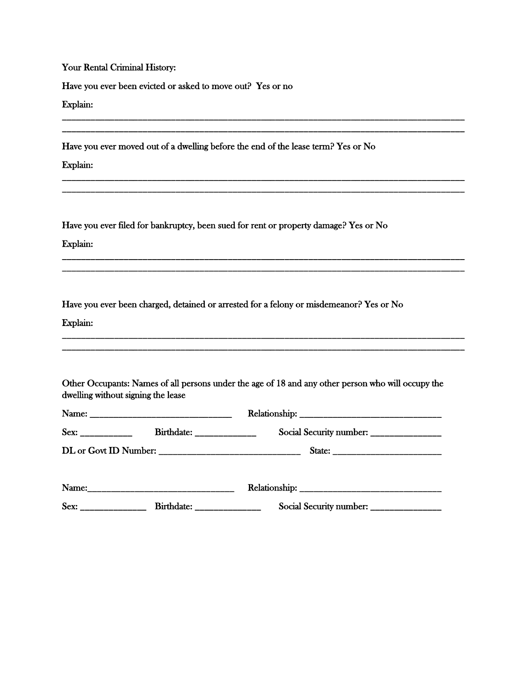Your Rental Criminal History:

Have you ever been evicted or asked to move out? Yes or no

Explain:

Have you ever moved out of a dwelling before the end of the lease term? Yes or No

\_\_\_\_\_\_\_\_\_\_\_\_\_\_\_\_\_\_\_\_\_\_\_\_\_\_\_\_\_\_\_\_\_\_\_\_\_\_\_\_\_\_\_\_\_\_\_\_\_\_\_\_\_\_\_\_\_\_\_\_\_\_\_\_\_\_\_\_\_\_\_\_\_\_\_\_\_\_\_\_\_\_\_\_\_ \_\_\_\_\_\_\_\_\_\_\_\_\_\_\_\_\_\_\_\_\_\_\_\_\_\_\_\_\_\_\_\_\_\_\_\_\_\_\_\_\_\_\_\_\_\_\_\_\_\_\_\_\_\_\_\_\_\_\_\_\_\_\_\_\_\_\_\_\_\_\_\_\_\_\_\_\_\_\_\_\_\_\_\_\_

\_\_\_\_\_\_\_\_\_\_\_\_\_\_\_\_\_\_\_\_\_\_\_\_\_\_\_\_\_\_\_\_\_\_\_\_\_\_\_\_\_\_\_\_\_\_\_\_\_\_\_\_\_\_\_\_\_\_\_\_\_\_\_\_\_\_\_\_\_\_\_\_\_\_\_\_\_\_\_\_\_\_\_\_\_ \_\_\_\_\_\_\_\_\_\_\_\_\_\_\_\_\_\_\_\_\_\_\_\_\_\_\_\_\_\_\_\_\_\_\_\_\_\_\_\_\_\_\_\_\_\_\_\_\_\_\_\_\_\_\_\_\_\_\_\_\_\_\_\_\_\_\_\_\_\_\_\_\_\_\_\_\_\_\_\_\_\_\_\_\_

\_\_\_\_\_\_\_\_\_\_\_\_\_\_\_\_\_\_\_\_\_\_\_\_\_\_\_\_\_\_\_\_\_\_\_\_\_\_\_\_\_\_\_\_\_\_\_\_\_\_\_\_\_\_\_\_\_\_\_\_\_\_\_\_\_\_\_\_\_\_\_\_\_\_\_\_\_\_\_\_\_\_\_\_\_ \_\_\_\_\_\_\_\_\_\_\_\_\_\_\_\_\_\_\_\_\_\_\_\_\_\_\_\_\_\_\_\_\_\_\_\_\_\_\_\_\_\_\_\_\_\_\_\_\_\_\_\_\_\_\_\_\_\_\_\_\_\_\_\_\_\_\_\_\_\_\_\_\_\_\_\_\_\_\_\_\_\_\_\_\_

\_\_\_\_\_\_\_\_\_\_\_\_\_\_\_\_\_\_\_\_\_\_\_\_\_\_\_\_\_\_\_\_\_\_\_\_\_\_\_\_\_\_\_\_\_\_\_\_\_\_\_\_\_\_\_\_\_\_\_\_\_\_\_\_\_\_\_\_\_\_\_\_\_\_\_\_\_\_\_\_\_\_\_\_\_ \_\_\_\_\_\_\_\_\_\_\_\_\_\_\_\_\_\_\_\_\_\_\_\_\_\_\_\_\_\_\_\_\_\_\_\_\_\_\_\_\_\_\_\_\_\_\_\_\_\_\_\_\_\_\_\_\_\_\_\_\_\_\_\_\_\_\_\_\_\_\_\_\_\_\_\_\_\_\_\_\_\_\_\_\_

Explain:

Have you ever filed for bankruptcy, been sued for rent or property damage? Yes or No

Explain:

Have you ever been charged, detained or arrested for a felony or misdemeanor? Yes or No

Explain:

| Other Occupants: Names of all persons under the age of 18 and any other person who will occupy the |  |  |
|----------------------------------------------------------------------------------------------------|--|--|
| dwelling without signing the lease                                                                 |  |  |

|                       | Birthdate: | Social Security number: |
|-----------------------|------------|-------------------------|
| DL or Govt ID Number: |            |                         |
| Name:                 |            |                         |

Sex: \_\_\_\_\_\_\_\_\_\_\_\_\_\_\_\_\_\_\_ Birthdate: \_\_\_\_\_\_\_\_\_\_\_\_\_\_\_\_\_\_\_\_\_\_\_ Social Security number: \_\_\_\_\_\_\_\_\_\_\_\_\_\_\_